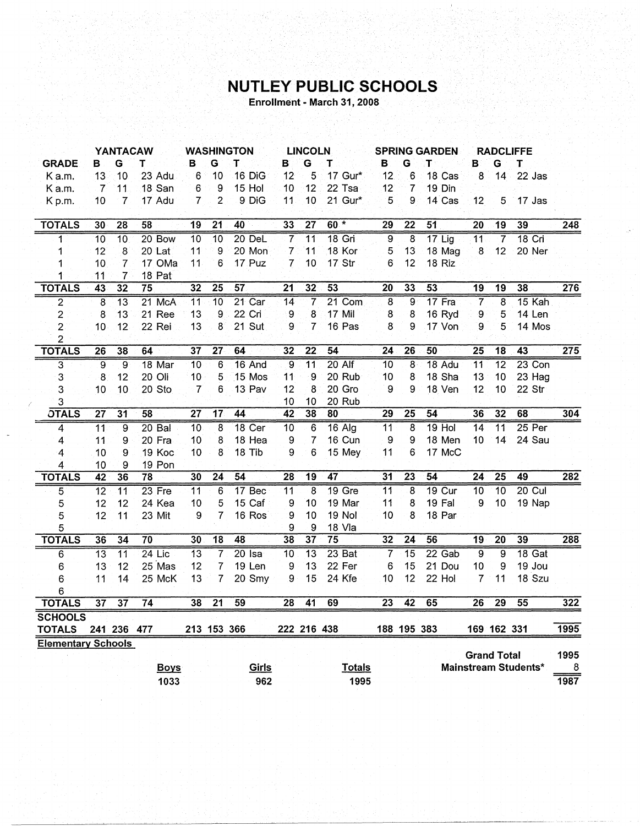## NUTLEY PUBLIC SCHOOLS

Enrollment - March 31, 2008

|                           | <b>WASHINGTON</b><br><b>YANTACAW</b> |                 |                 |                 | <b>LINCOLN</b><br><b>SPRING GARDEN</b> |                 |                 |                 | <b>RADCLIFFE</b> |                 |                 |                 |                    |                 |                             |                  |
|---------------------------|--------------------------------------|-----------------|-----------------|-----------------|----------------------------------------|-----------------|-----------------|-----------------|------------------|-----------------|-----------------|-----------------|--------------------|-----------------|-----------------------------|------------------|
| <b>GRADE</b>              | в                                    | Ġ               | т               | в               | G                                      | T               | в               | G               | т                | в               | G               | т               | в                  | G               | Т                           |                  |
| Ka.m.                     | 13                                   | 10              | 23 Adu          | 6               | 10                                     | 16 DiG          | 12              | 5               | 17 Gur*          | 12              | 6               | 18 Cas          | 8                  | 14              | 22 Jas                      |                  |
| K a.m.                    | $\overline{7}$                       | 11              | 18 San          | 6               | 9                                      | 15 Hol          | 10              | 12              | 22 Tsa           | 12              | $\overline{7}$  | 19 Din          |                    |                 |                             |                  |
| Kp.m.                     | 10                                   | $\overline{7}$  | 17 Adu          | 7               | $\overline{c}$                         | 9 DiG           | 11              | 10              | 21 Gur*          | 5               | 9               | 14 Cas          | 12                 | 5               | 17 Jas                      |                  |
|                           |                                      |                 |                 |                 |                                        |                 |                 |                 |                  |                 |                 |                 |                    |                 |                             |                  |
| <b>TOTALS</b>             | 30                                   | 28              | 58              | 19              | 21                                     | 40              | 33              | $\overline{27}$ | $60*$            | 29              | $\overline{22}$ | $\overline{51}$ | 20                 | 19              | 39                          | 248              |
| 1                         | 10                                   | $\overline{10}$ | 20 Bow          | 10              | $\overline{10}$                        | $20$ DeL        | $\overline{7}$  | $\overline{11}$ | $18$ Gri         | 9               | $\overline{8}$  | $17$ Lig        | 11                 | $\overline{7}$  | $18$ Cri                    |                  |
| 1                         | 12                                   | 8               | 20 Lat          | 11              | 9                                      | 20 Mon          | 7               | 11              | 18 Kor           | 5               | 13              | 18 Mag          | 8                  | 12              | 20 Ner                      |                  |
| 1                         | 10                                   | $\overline{7}$  | 17 OMa          | 11              | 6                                      | 17 Puz          | $\overline{7}$  | 10              | 17 Str           | 6               | 12              | 18 Riz          |                    |                 |                             |                  |
| 1                         | 11                                   | $\overline{7}$  | 18 Pat          |                 |                                        |                 |                 |                 |                  |                 |                 |                 |                    |                 |                             |                  |
| <b>TOTALS</b>             | 43                                   | $\overline{32}$ | $\overline{75}$ | 32              | $\overline{25}$                        | $\overline{57}$ | $\overline{21}$ | 32              | $\overline{53}$  | $\overline{20}$ | 33              | $\overline{53}$ | $\overline{19}$    | 19              | 38                          | $\overline{276}$ |
| $\overline{2}$            | $\overline{8}$                       | $\overline{13}$ | $21$ McA        | $\overline{11}$ | $\overline{10}$                        | 21 Car          | $\overline{14}$ | $\overline{7}$  | $21$ Com         | 8               | $\overline{9}$  | 17 Fra          | $\overline{7}$     | $\overline{8}$  | 15 Kah                      |                  |
| 2                         | 8                                    | 13              | 21 Ree          | 13              | 9                                      | 22 Cri          | 9               | 8               | 17 Mil           | 8               | 8               | 16 Ryd          | 9                  | 5               | 14 Len                      |                  |
| $\overline{c}$            | 10                                   | 12              | 22 Rei          | 13              | 8                                      | 21 Sut          | 9               | 7               | 16 Pas           | 8               | 9               | 17 Von          | 9                  | 5               | 14 Mos                      |                  |
| $\overline{2}$            |                                      |                 |                 |                 |                                        |                 |                 |                 |                  |                 |                 |                 |                    |                 |                             |                  |
| <b>TOTALS</b>             | $\overline{26}$                      | 38              | 64              | 37              | $\overline{27}$                        | 64              | $\overline{32}$ | $\overline{22}$ | $\overline{54}$  | 24              | 26              | 50              | $\overline{25}$    | $\overline{18}$ | $\overline{43}$             | $\overline{275}$ |
| $\overline{\mathbf{3}}$   | $\overline{9}$                       | $\overline{9}$  | 18 Mar          | 10              | 6                                      | $16$ And        | $\overline{9}$  | $\overline{11}$ | $20$ Alf         | $\overline{10}$ | 8               | $18$ Adu        | $\overline{11}$    | $\overline{12}$ | $23$ Con                    |                  |
| 3                         | 8                                    | 12              | 20 Oli          | 10              | 5                                      | 15 Mos          | 11              | 9               | 20 Rub           | 10              | 8               | 18 Sha          | 13                 | 10              | 23 Hag                      |                  |
| 3                         | 10                                   | 10              | 20 Sto          | 7               | 6                                      | 13 Pav          | 12              | 8               | 20 Gro           | 9               | 9               | 18 Ven          | 12                 | 10              | 22 Str                      |                  |
| 3                         |                                      |                 |                 |                 |                                        |                 | 10              | 10              | 20 Rub           |                 |                 |                 |                    |                 |                             |                  |
| <b>OTALS</b>              | $\overline{27}$                      | 31              | 58              | 27              | 17                                     | 44              | $\overline{42}$ | 38              | 80               | $\overline{29}$ | $\overline{25}$ | 54              | 36                 | 32              | 68                          | 304              |
| 4                         | 11                                   | 9               | $20$ Bal        | 10              | 8                                      | 18 Cer          | $\overline{10}$ | 6               | $16$ Alg         | 11              | 8               | $19$ Hol        | $\overline{14}$    | $\overline{11}$ | $25$ Per                    |                  |
| 4                         | 11                                   | 9               | 20 Fra          | 10              | 8                                      | 18 Hea          | 9               | 7               | 16 Cun           | 9               | 9               | 18 Men          | 10                 | 14              | 24 Sau                      |                  |
| 4                         | 10                                   | 9               | 19 Koc          | 10              | 8                                      | 18 Tib          | 9               | 6               | 15 Mey           | 11              | 6               | 17 McC          |                    |                 |                             |                  |
| 4                         | 10                                   | 9               | 19 Pon          |                 |                                        |                 |                 |                 |                  |                 |                 |                 |                    |                 |                             |                  |
| <b>TOTALS</b>             | 42                                   | 36              | $\overline{78}$ | 30              | $\overline{24}$                        | $\overline{54}$ | $\overline{28}$ | $\overline{19}$ | 47               | $\overline{31}$ | $\overline{23}$ | 54              | $\overline{24}$    | $\overline{25}$ | 49                          | 282              |
| 5                         | $\overline{12}$                      | $\overline{11}$ | $23$ Fre        | 11              | 6                                      | 17 Bec          | 11              | 8               | $19$ Gre         | $\overline{11}$ | 8               | <b>19 Cur</b>   | $\overline{10}$    | $\overline{10}$ | $20$ Cul                    |                  |
| 5                         | 12                                   | 12              | 24 Kea          | 10              | 5                                      | 15 Caf          | 9               | 10              | 19 Mar           | 11              | 8               | 19 Fal          | 9                  | 10              | 19 Nap                      |                  |
| 5                         | 12                                   | 11              | 23 Mit          | 9               | 7                                      | 16 Ros          | 9               | 10              | <b>19 Nol</b>    | 10              | 8               | 18 Par          |                    |                 |                             |                  |
| 5                         |                                      |                 |                 |                 |                                        |                 | 9               | 9               | 18 Vla           |                 |                 |                 |                    |                 |                             |                  |
| <b>TOTALS</b>             | 36                                   | 34              | $\overline{70}$ | 30              | $\overline{18}$                        | 48              | 38              | $\overline{37}$ | $\overline{75}$  | $\overline{32}$ | $\overline{24}$ | 56              | $\overline{19}$    | $\overline{20}$ | 39                          | 288              |
| 6                         | $\overline{13}$                      | $\overline{11}$ | $24$ Lic        | $\overline{13}$ | 7                                      | $20$ Isa        | $\overline{10}$ | $\overline{13}$ | $23$ Bat         | 7               | $\overline{15}$ | $22$ Gab        | ढ़                 | ब्र             | 18 Gat                      |                  |
| 6                         | 13                                   | 12              | 25 Mas          | 12              | 7                                      | 19 Len          | 9               | 13              | 22 Fer           | 6               | 15              | 21 Dou          | 10                 | 9               | 19 Jou                      |                  |
| 6                         | 11                                   | 14              | 25 McK          | 13              | 7                                      | 20 Smy          | 9               | 15              | 24 Kfe           | 10              | 12              | 22 Hol          | $\overline{7}$     | 11              | 18 Szu                      |                  |
| 6                         |                                      |                 |                 |                 |                                        |                 |                 |                 |                  |                 |                 |                 |                    |                 |                             |                  |
| <b>TOTALS</b>             | $\overline{37}$                      | $\overline{37}$ | $\overline{74}$ | 38              | $\overline{21}$                        | $\overline{59}$ | 28              | $\overline{41}$ | 69               | 23              | $\overline{42}$ | 65              | 26                 | $\overline{29}$ | 55                          | 322              |
| <b>SCHOOLS</b>            |                                      |                 |                 |                 |                                        |                 |                 |                 |                  |                 |                 |                 |                    |                 |                             |                  |
| <b>TOTALS</b>             |                                      | 241 236 477     |                 |                 |                                        | 213 153 366     |                 | 222 216 438     |                  |                 | 188 195 383     |                 |                    | 169 162 331     |                             | 1995             |
| <b>Elementary Schools</b> |                                      |                 |                 |                 |                                        |                 |                 |                 |                  |                 |                 |                 |                    |                 |                             |                  |
|                           |                                      |                 |                 |                 |                                        |                 |                 |                 |                  |                 |                 |                 | <b>Grand Total</b> |                 |                             | 1995             |
|                           |                                      |                 | <b>Boys</b>     |                 |                                        | Girls           |                 |                 | <b>Totals</b>    |                 |                 |                 |                    |                 | <b>Mainstream Students*</b> | 8                |
|                           |                                      |                 | 1033            |                 |                                        | 962             |                 |                 | 1995             |                 |                 |                 |                    |                 |                             | 1987             |